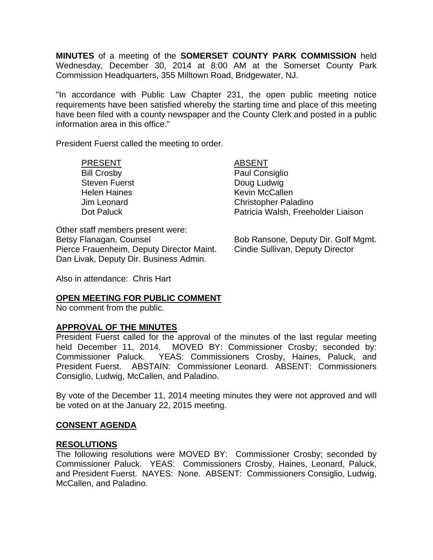**MINUTES** of a meeting of the **SOMERSET COUNTY PARK COMMISSION** held Wednesday, December 30, 2014 at 8:00 AM at the Somerset County Park Commission Headquarters, 355 Milltown Road, Bridgewater, NJ.

"In accordance with Public Law Chapter 231, the open public meeting notice requirements have been satisfied whereby the starting time and place of this meeting have been filed with a county newspaper and the County Clerk and posted in a public information area in this office."

President Fuerst called the meeting to order.

#### PRESENT ABSENT

Steven Fuerst **Doug Ludwig** 

Bill Crosby **Paul Consiglio** Helen Haines **Kevin McCallen** Jim Leonard Christopher Paladino Dot Paluck **Patricia Walsh, Freeholder Liaison** 

Other staff members present were: Betsy Flanagan, Counsel **Bob Ransone, Deputy Dir. Golf Mgmt.** Pierce Frauenheim, Deputy Director Maint. Cindie Sullivan, Deputy Director Dan Livak, Deputy Dir. Business Admin.

Also in attendance: Chris Hart

## **OPEN MEETING FOR PUBLIC COMMENT**

No comment from the public.

## **APPROVAL OF THE MINUTES**

President Fuerst called for the approval of the minutes of the last regular meeting held December 11, 2014. MOVED BY: Commissioner Crosby; seconded by: Commissioner Paluck. YEAS: Commissioners Crosby, Haines, Paluck, and President Fuerst. ABSTAIN: Commissioner Leonard. ABSENT: Commissioners Consiglio, Ludwig, McCallen, and Paladino.

By vote of the December 11, 2014 meeting minutes they were not approved and will be voted on at the January 22, 2015 meeting.

## **CONSENT AGENDA**

#### **RESOLUTIONS**

The following resolutions were MOVED BY: Commissioner Crosby; seconded by Commissioner Paluck. YEAS: Commissioners Crosby, Haines, Leonard, Paluck, and President Fuerst. NAYES: None. ABSENT: Commissioners Consiglio, Ludwig, McCallen, and Paladino.